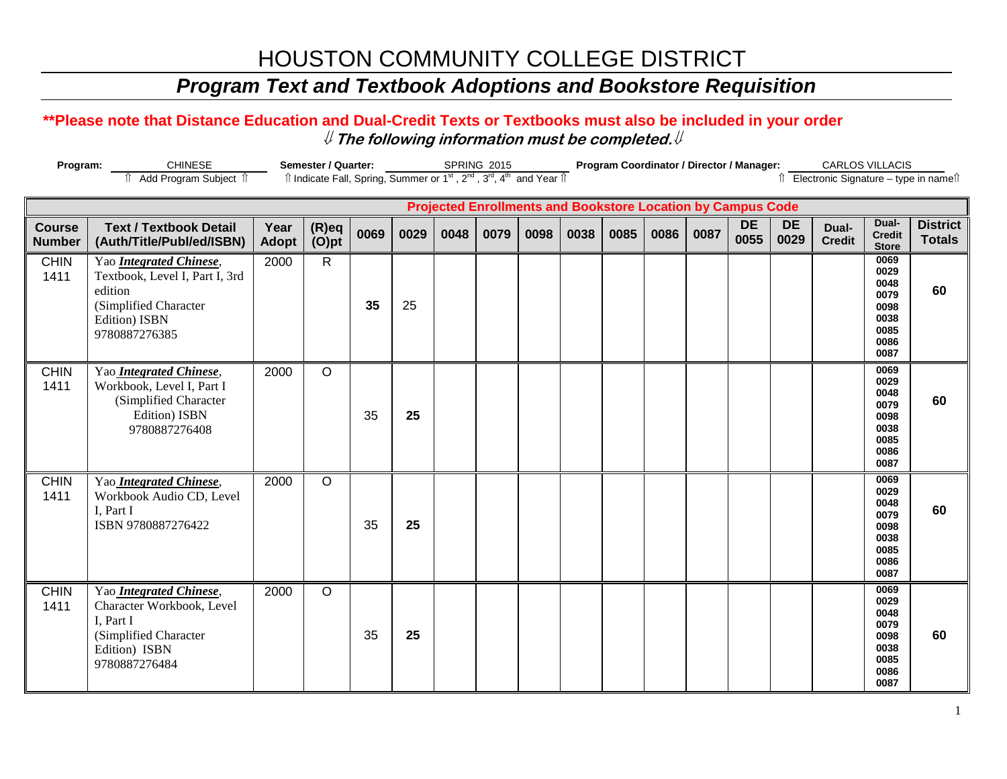# HOUSTON COMMUNITY COLLEGE DISTRICT

## *Program Text and Textbook Adoptions and Bookstore Requisition*

### **\*\*Please note that Distance Education and Dual-Credit Texts or Textbooks must also be included in your order** ⇓ **The following information must be completed.**⇓

| Program:<br><b>CHINESE</b>                                                                                                                                                                 |                                                                                                                                 | Semester / Quarter: |                      |      |      | SPRING 2015 |      |      | Program Coordinator / Director / Manager: |      |      |      |                   |                   | <b>CARLOS VILLACIS</b> |                                                                      |                                  |
|--------------------------------------------------------------------------------------------------------------------------------------------------------------------------------------------|---------------------------------------------------------------------------------------------------------------------------------|---------------------|----------------------|------|------|-------------|------|------|-------------------------------------------|------|------|------|-------------------|-------------------|------------------------|----------------------------------------------------------------------|----------------------------------|
| Îl Indicate Fall, Spring, Summer or 1 <sup>st</sup> , 2 <sup>nd</sup> , 3 <sup>rd</sup> , 4 <sup>th</sup> and Year Îl<br>Add Program Subject 1<br>îl Electronic Signature - type in namelî |                                                                                                                                 |                     |                      |      |      |             |      |      |                                           |      |      |      |                   |                   |                        |                                                                      |                                  |
| <b>Projected Enrollments and Bookstore Location by Campus Code</b>                                                                                                                         |                                                                                                                                 |                     |                      |      |      |             |      |      |                                           |      |      |      |                   |                   |                        |                                                                      |                                  |
| <b>Course</b><br><b>Number</b>                                                                                                                                                             | <b>Text / Textbook Detail</b><br>(Auth/Title/Publ/ed/ISBN)                                                                      | Year<br>Adopt       | $(R)$ eq<br>$(O)$ pt | 0069 | 0029 | 0048        | 0079 | 0098 | 0038                                      | 0085 | 0086 | 0087 | <b>DE</b><br>0055 | <b>DE</b><br>0029 | Dual-<br><b>Credit</b> | Dual-<br><b>Credit</b><br><b>Store</b>                               | <b>District</b><br><b>Totals</b> |
| <b>CHIN</b><br>1411                                                                                                                                                                        | Yao Integrated Chinese,<br>Textbook, Level I, Part I, 3rd<br>edition<br>(Simplified Character<br>Edition) ISBN<br>9780887276385 | 2000                | $\mathsf{R}$         | 35   | 25   |             |      |      |                                           |      |      |      |                   |                   |                        | 0069<br>0029<br>0048<br>0079<br>0098<br>0038<br>0085<br>0086<br>0087 | 60                               |
| <b>CHIN</b><br>1411                                                                                                                                                                        | Yao Integrated Chinese,<br>Workbook, Level I, Part I<br>(Simplified Character<br>Edition) ISBN<br>9780887276408                 | 2000                | $\circ$              | 35   | 25   |             |      |      |                                           |      |      |      |                   |                   |                        | 0069<br>0029<br>0048<br>0079<br>0098<br>0038<br>0085<br>0086<br>0087 | 60                               |
| <b>CHIN</b><br>1411                                                                                                                                                                        | Yao Integrated Chinese,<br>Workbook Audio CD, Level<br>I, Part I<br>ISBN 9780887276422                                          | 2000                | $\circ$              | 35   | 25   |             |      |      |                                           |      |      |      |                   |                   |                        | 0069<br>0029<br>0048<br>0079<br>0098<br>0038<br>0085<br>0086<br>0087 | 60                               |
| <b>CHIN</b><br>1411                                                                                                                                                                        | Yao Integrated Chinese,<br>Character Workbook, Level<br>I, Part I<br>(Simplified Character<br>Edition) ISBN<br>9780887276484    | 2000                | $\circ$              | 35   | 25   |             |      |      |                                           |      |      |      |                   |                   |                        | 0069<br>0029<br>0048<br>0079<br>0098<br>0038<br>0085<br>0086<br>0087 | 60                               |